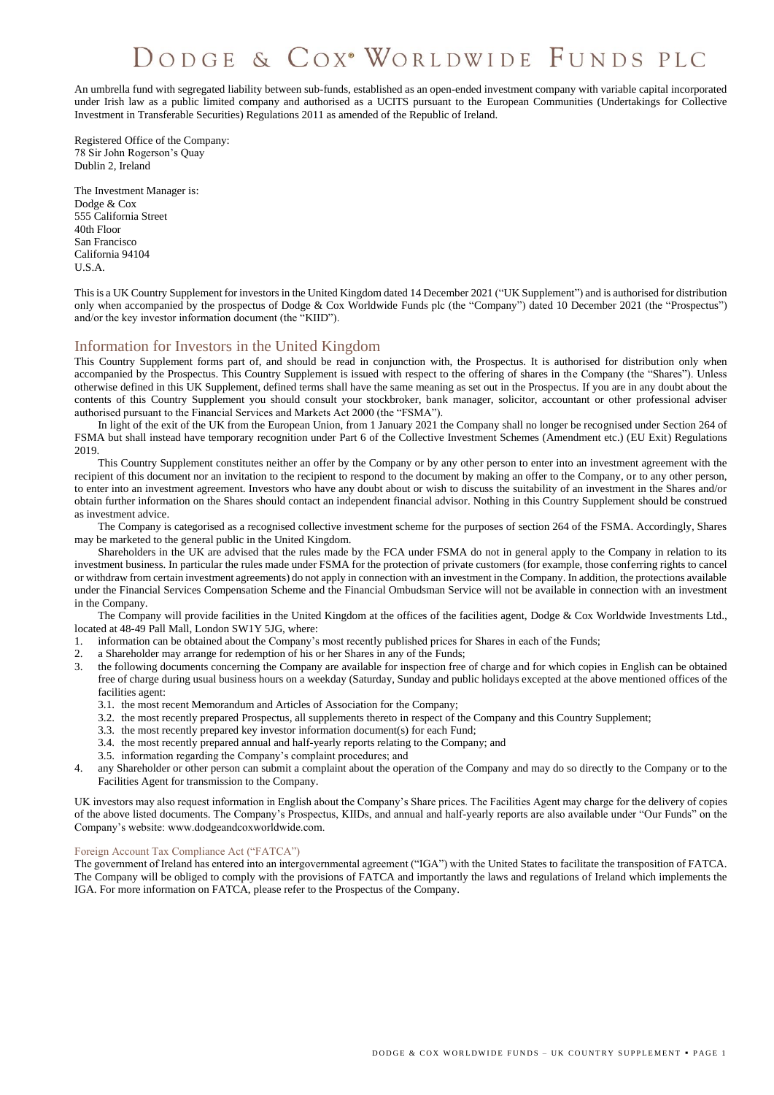# DODGE & COX<sup>®</sup> WORLDWIDE FUNDS PLC

An umbrella fund with segregated liability between sub-funds, established as an open-ended investment company with variable capital incorporated under Irish law as a public limited company and authorised as a UCITS pursuant to the European Communities (Undertakings for Collective Investment in Transferable Securities) Regulations 2011 as amended of the Republic of Ireland.

Registered Office of the Company: 78 Sir John Rogerson's Quay Dublin 2, Ireland

The Investment Manager is: Dodge & Cox 555 California Street 40th Floor San Francisco California 94104 U.S.A.

This is a UK Country Supplement for investors in the United Kingdom dated 14 December 2021 ("UK Supplement") and is authorised for distribution only when accompanied by the prospectus of Dodge & Cox Worldwide Funds plc (the "Company") dated 10 December 2021 (the "Prospectus") and/or the key investor information document (the "KIID").

# Information for Investors in the United Kingdom

This Country Supplement forms part of, and should be read in conjunction with, the Prospectus. It is authorised for distribution only when accompanied by the Prospectus. This Country Supplement is issued with respect to the offering of shares in the Company (the "Shares"). Unless otherwise defined in this UK Supplement, defined terms shall have the same meaning as set out in the Prospectus. If you are in any doubt about the contents of this Country Supplement you should consult your stockbroker, bank manager, solicitor, accountant or other professional adviser authorised pursuant to the Financial Services and Markets Act 2000 (the "FSMA").

In light of the exit of the UK from the European Union, from 1 January 2021 the Company shall no longer be recognised under Section 264 of FSMA but shall instead have temporary recognition under Part 6 of the Collective Investment Schemes (Amendment etc.) (EU Exit) Regulations 2019.

This Country Supplement constitutes neither an offer by the Company or by any other person to enter into an investment agreement with the recipient of this document nor an invitation to the recipient to respond to the document by making an offer to the Company, or to any other person, to enter into an investment agreement. Investors who have any doubt about or wish to discuss the suitability of an investment in the Shares and/or obtain further information on the Shares should contact an independent financial advisor. Nothing in this Country Supplement should be construed as investment advice.

The Company is categorised as a recognised collective investment scheme for the purposes of section 264 of the FSMA. Accordingly, Shares may be marketed to the general public in the United Kingdom.

Shareholders in the UK are advised that the rules made by the FCA under FSMA do not in general apply to the Company in relation to its investment business. In particular the rules made under FSMA for the protection of private customers (for example, those conferring rights to cancel or withdraw from certain investment agreements) do not apply in connection with an investment in the Company. In addition, the protections available under the Financial Services Compensation Scheme and the Financial Ombudsman Service will not be available in connection with an investment in the Company.

The Company will provide facilities in the United Kingdom at the offices of the facilities agent, Dodge & Cox Worldwide Investments Ltd., located at 48-49 Pall Mall, London SW1Y 5JG, where:

- 1. information can be obtained about the Company's most recently published prices for Shares in each of the Funds;
- 2. a Shareholder may arrange for redemption of his or her Shares in any of the Funds;
- 3. the following documents concerning the Company are available for inspection free of charge and for which copies in English can be obtained free of charge during usual business hours on a weekday (Saturday, Sunday and public holidays excepted at the above mentioned offices of the facilities agent:
	- 3.1. the most recent Memorandum and Articles of Association for the Company;
	- 3.2. the most recently prepared Prospectus, all supplements thereto in respect of the Company and this Country Supplement;
	- 3.3. the most recently prepared key investor information document(s) for each Fund;
	- 3.4. the most recently prepared annual and half-yearly reports relating to the Company; and
	- 3.5. information regarding the Company's complaint procedures; and
- 4. any Shareholder or other person can submit a complaint about the operation of the Company and may do so directly to the Company or to the Facilities Agent for transmission to the Company.

UK investors may also request information in English about the Company's Share prices. The Facilities Agent may charge for the delivery of copies of the above listed documents. The Company's Prospectus, KIIDs, and annual and half-yearly reports are also available under "Our Funds" on the Company's website: www.dodgeandcoxworldwide.com.

## Foreign Account Tax Compliance Act ("FATCA")

The government of Ireland has entered into an intergovernmental agreement ("IGA") with the United States to facilitate the transposition of FATCA. The Company will be obliged to comply with the provisions of FATCA and importantly the laws and regulations of Ireland which implements the IGA. For more information on FATCA, please refer to the Prospectus of the Company.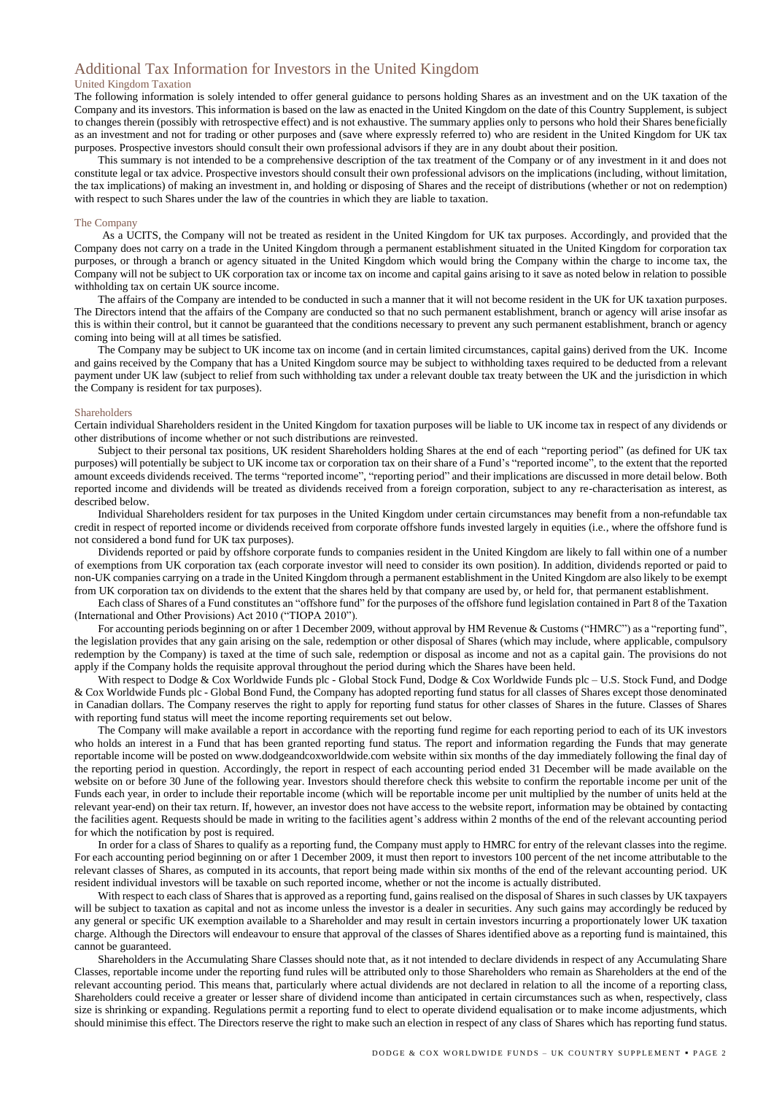# Additional Tax Information for Investors in the United Kingdom

### United Kingdom Taxation

The following information is solely intended to offer general guidance to persons holding Shares as an investment and on the UK taxation of the Company and its investors. This information is based on the law as enacted in the United Kingdom on the date of this Country Supplement, is subject to changes therein (possibly with retrospective effect) and is not exhaustive. The summary applies only to persons who hold their Shares beneficially as an investment and not for trading or other purposes and (save where expressly referred to) who are resident in the United Kingdom for UK tax purposes. Prospective investors should consult their own professional advisors if they are in any doubt about their position.

This summary is not intended to be a comprehensive description of the tax treatment of the Company or of any investment in it and does not constitute legal or tax advice. Prospective investors should consult their own professional advisors on the implications (including, without limitation, the tax implications) of making an investment in, and holding or disposing of Shares and the receipt of distributions (whether or not on redemption) with respect to such Shares under the law of the countries in which they are liable to taxation.

#### The Company

As a UCITS, the Company will not be treated as resident in the United Kingdom for UK tax purposes. Accordingly, and provided that the Company does not carry on a trade in the United Kingdom through a permanent establishment situated in the United Kingdom for corporation tax purposes, or through a branch or agency situated in the United Kingdom which would bring the Company within the charge to income tax, the Company will not be subject to UK corporation tax or income tax on income and capital gains arising to it save as noted below in relation to possible withholding tax on certain UK source income.

The affairs of the Company are intended to be conducted in such a manner that it will not become resident in the UK for UK taxation purposes. The Directors intend that the affairs of the Company are conducted so that no such permanent establishment, branch or agency will arise insofar as this is within their control, but it cannot be guaranteed that the conditions necessary to prevent any such permanent establishment, branch or agency coming into being will at all times be satisfied.

The Company may be subject to UK income tax on income (and in certain limited circumstances, capital gains) derived from the UK. Income and gains received by the Company that has a United Kingdom source may be subject to withholding taxes required to be deducted from a relevant payment under UK law (subject to relief from such withholding tax under a relevant double tax treaty between the UK and the jurisdiction in which the Company is resident for tax purposes).

#### Shareholders

Certain individual Shareholders resident in the United Kingdom for taxation purposes will be liable to UK income tax in respect of any dividends or other distributions of income whether or not such distributions are reinvested.

Subject to their personal tax positions, UK resident Shareholders holding Shares at the end of each "reporting period" (as defined for UK tax purposes) will potentially be subject to UK income tax or corporation tax on their share of a Fund's "reported income", to the extent that the reported amount exceeds dividends received. The terms "reported income", "reporting period" and their implications are discussed in more detail below. Both reported income and dividends will be treated as dividends received from a foreign corporation, subject to any re-characterisation as interest, as described below.

Individual Shareholders resident for tax purposes in the United Kingdom under certain circumstances may benefit from a non-refundable tax credit in respect of reported income or dividends received from corporate offshore funds invested largely in equities (i.e., where the offshore fund is not considered a bond fund for UK tax purposes).

Dividends reported or paid by offshore corporate funds to companies resident in the United Kingdom are likely to fall within one of a number of exemptions from UK corporation tax (each corporate investor will need to consider its own position). In addition, dividends reported or paid to non-UK companies carrying on a trade in the United Kingdom through a permanent establishment in the United Kingdom are also likely to be exempt from UK corporation tax on dividends to the extent that the shares held by that company are used by, or held for, that permanent establishment.

Each class of Shares of a Fund constitutes an "offshore fund" for the purposes of the offshore fund legislation contained in Part 8 of the Taxation (International and Other Provisions) Act 2010 ("TIOPA 2010").

For accounting periods beginning on or after 1 December 2009, without approval by HM Revenue & Customs ("HMRC") as a "reporting fund", the legislation provides that any gain arising on the sale, redemption or other disposal of Shares (which may include, where applicable, compulsory redemption by the Company) is taxed at the time of such sale, redemption or disposal as income and not as a capital gain. The provisions do not apply if the Company holds the requisite approval throughout the period during which the Shares have been held.

With respect to Dodge & Cox Worldwide Funds plc - Global Stock Fund, Dodge & Cox Worldwide Funds plc - U.S. Stock Fund, and Dodge & Cox Worldwide Funds plc - Global Bond Fund, the Company has adopted reporting fund status for all classes of Shares except those denominated in Canadian dollars. The Company reserves the right to apply for reporting fund status for other classes of Shares in the future. Classes of Shares with reporting fund status will meet the income reporting requirements set out below.

The Company will make available a report in accordance with the reporting fund regime for each reporting period to each of its UK investors who holds an interest in a Fund that has been granted reporting fund status. The report and information regarding the Funds that may generate reportable income will be posted on [www.dodgeandcoxworldwide.com](http://www.dodgeandcoxworldwide.com/) website within six months of the day immediately following the final day of the reporting period in question. Accordingly, the report in respect of each accounting period ended 31 December will be made available on the website on or before 30 June of the following year. Investors should therefore check this website to confirm the reportable income per unit of the Funds each year, in order to include their reportable income (which will be reportable income per unit multiplied by the number of units held at the relevant year-end) on their tax return. If, however, an investor does not have access to the website report, information may be obtained by contacting the facilities agent. Requests should be made in writing to the facilities agent's address within 2 months of the end of the relevant accounting period for which the notification by post is required.

In order for a class of Shares to qualify as a reporting fund, the Company must apply to HMRC for entry of the relevant classes into the regime. For each accounting period beginning on or after 1 December 2009, it must then report to investors 100 percent of the net income attributable to the relevant classes of Shares, as computed in its accounts, that report being made within six months of the end of the relevant accounting period. UK resident individual investors will be taxable on such reported income, whether or not the income is actually distributed.

With respect to each class of Shares that is approved as a reporting fund, gains realised on the disposal of Shares in such classes by UK taxpayers will be subject to taxation as capital and not as income unless the investor is a dealer in securities. Any such gains may accordingly be reduced by any general or specific UK exemption available to a Shareholder and may result in certain investors incurring a proportionately lower UK taxation charge. Although the Directors will endeavour to ensure that approval of the classes of Shares identified above as a reporting fund is maintained, this cannot be guaranteed.

Shareholders in the Accumulating Share Classes should note that, as it not intended to declare dividends in respect of any Accumulating Share Classes, reportable income under the reporting fund rules will be attributed only to those Shareholders who remain as Shareholders at the end of the relevant accounting period. This means that, particularly where actual dividends are not declared in relation to all the income of a reporting class, Shareholders could receive a greater or lesser share of dividend income than anticipated in certain circumstances such as when, respectively, class size is shrinking or expanding. Regulations permit a reporting fund to elect to operate dividend equalisation or to make income adjustments, which should minimise this effect. The Directors reserve the right to make such an election in respect of any class of Shares which has reporting fund status.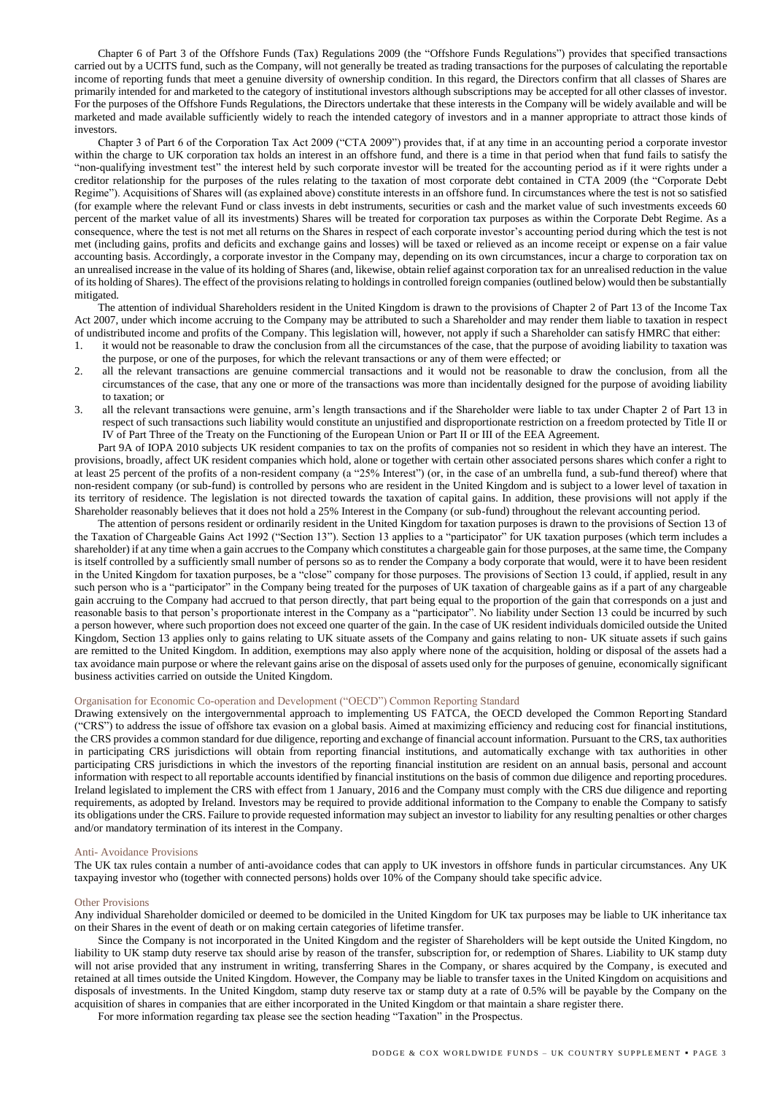Chapter 6 of Part 3 of the Offshore Funds (Tax) Regulations 2009 (the "Offshore Funds Regulations") provides that specified transactions carried out by a UCITS fund, such as the Company, will not generally be treated as trading transactions for the purposes of calculating the reportable income of reporting funds that meet a genuine diversity of ownership condition. In this regard, the Directors confirm that all classes of Shares are primarily intended for and marketed to the category of institutional investors although subscriptions may be accepted for all other classes of investor. For the purposes of the Offshore Funds Regulations, the Directors undertake that these interests in the Company will be widely available and will be marketed and made available sufficiently widely to reach the intended category of investors and in a manner appropriate to attract those kinds of investors.

Chapter 3 of Part 6 of the Corporation Tax Act 2009 ("CTA 2009") provides that, if at any time in an accounting period a corporate investor within the charge to UK corporation tax holds an interest in an offshore fund, and there is a time in that period when that fund fails to satisfy the "non-qualifying investment test" the interest held by such corporate investor will be treated for the accounting period as if it were rights under a creditor relationship for the purposes of the rules relating to the taxation of most corporate debt contained in CTA 2009 (the "Corporate Debt Regime"). Acquisitions of Shares will (as explained above) constitute interests in an offshore fund. In circumstances where the test is not so satisfied (for example where the relevant Fund or class invests in debt instruments, securities or cash and the market value of such investments exceeds 60 percent of the market value of all its investments) Shares will be treated for corporation tax purposes as within the Corporate Debt Regime. As a consequence, where the test is not met all returns on the Shares in respect of each corporate investor's accounting period during which the test is not met (including gains, profits and deficits and exchange gains and losses) will be taxed or relieved as an income receipt or expense on a fair value accounting basis. Accordingly, a corporate investor in the Company may, depending on its own circumstances, incur a charge to corporation tax on an unrealised increase in the value of its holding of Shares (and, likewise, obtain relief against corporation tax for an unrealised reduction in the value of its holding of Shares). The effect of the provisions relating to holdings in controlled foreign companies (outlined below) would then be substantially mitigated.

The attention of individual Shareholders resident in the United Kingdom is drawn to the provisions of Chapter 2 of Part 13 of the Income Tax Act 2007, under which income accruing to the Company may be attributed to such a Shareholder and may render them liable to taxation in respect of undistributed income and profits of the Company. This legislation will, however, not apply if such a Shareholder can satisfy HMRC that either:

- 1. it would not be reasonable to draw the conclusion from all the circumstances of the case, that the purpose of avoiding liability to taxation was the purpose, or one of the purposes, for which the relevant transactions or any of them were effected; or
- 2. all the relevant transactions are genuine commercial transactions and it would not be reasonable to draw the conclusion, from all the circumstances of the case, that any one or more of the transactions was more than incidentally designed for the purpose of avoiding liability to taxation; or
- 3. all the relevant transactions were genuine, arm's length transactions and if the Shareholder were liable to tax under Chapter 2 of Part 13 in respect of such transactions such liability would constitute an unjustified and disproportionate restriction on a freedom protected by Title II or IV of Part Three of the Treaty on the Functioning of the European Union or Part II or III of the EEA Agreement.

Part 9A of IOPA 2010 subjects UK resident companies to tax on the profits of companies not so resident in which they have an interest. The provisions, broadly, affect UK resident companies which hold, alone or together with certain other associated persons shares which confer a right to at least 25 percent of the profits of a non-resident company (a "25% Interest") (or, in the case of an umbrella fund, a sub-fund thereof) where that non-resident company (or sub-fund) is controlled by persons who are resident in the United Kingdom and is subject to a lower level of taxation in its territory of residence. The legislation is not directed towards the taxation of capital gains. In addition, these provisions will not apply if the Shareholder reasonably believes that it does not hold a 25% Interest in the Company (or sub-fund) throughout the relevant accounting period.

The attention of persons resident or ordinarily resident in the United Kingdom for taxation purposes is drawn to the provisions of Section 13 of the Taxation of Chargeable Gains Act 1992 ("Section 13"). Section 13 applies to a "participator" for UK taxation purposes (which term includes a shareholder) if at any time when a gain accrues to the Company which constitutes a chargeable gain for those purposes, at the same time, the Company is itself controlled by a sufficiently small number of persons so as to render the Company a body corporate that would, were it to have been resident in the United Kingdom for taxation purposes, be a "close" company for those purposes. The provisions of Section 13 could, if applied, result in any such person who is a "participator" in the Company being treated for the purposes of UK taxation of chargeable gains as if a part of any chargeable gain accruing to the Company had accrued to that person directly, that part being equal to the proportion of the gain that corresponds on a just and reasonable basis to that person's proportionate interest in the Company as a "participator". No liability under Section 13 could be incurred by such a person however, where such proportion does not exceed one quarter of the gain. In the case of UK resident individuals domiciled outside the United Kingdom, Section 13 applies only to gains relating to UK situate assets of the Company and gains relating to non- UK situate assets if such gains are remitted to the United Kingdom. In addition, exemptions may also apply where none of the acquisition, holding or disposal of the assets had a tax avoidance main purpose or where the relevant gains arise on the disposal of assets used only for the purposes of genuine, economically significant business activities carried on outside the United Kingdom.

#### Organisation for Economic Co-operation and Development ("OECD") Common Reporting Standard

Drawing extensively on the intergovernmental approach to implementing US FATCA, the OECD developed the Common Reporting Standard ("CRS") to address the issue of offshore tax evasion on a global basis. Aimed at maximizing efficiency and reducing cost for financial institutions, the CRS provides a common standard for due diligence, reporting and exchange of financial account information. Pursuant to the CRS, tax authorities in participating CRS jurisdictions will obtain from reporting financial institutions, and automatically exchange with tax authorities in other participating CRS jurisdictions in which the investors of the reporting financial institution are resident on an annual basis, personal and account information with respect to all reportable accounts identified by financial institutions on the basis of common due diligence and reporting procedures. Ireland legislated to implement the CRS with effect from 1 January, 2016 and the Company must comply with the CRS due diligence and reporting requirements, as adopted by Ireland. Investors may be required to provide additional information to the Company to enable the Company to satisfy its obligations under the CRS. Failure to provide requested information may subject an investor to liability for any resulting penalties or other charges and/or mandatory termination of its interest in the Company.

#### Anti- Avoidance Provisions

The UK tax rules contain a number of anti-avoidance codes that can apply to UK investors in offshore funds in particular circumstances. Any UK taxpaying investor who (together with connected persons) holds over 10% of the Company should take specific advice.

#### Other Provisions

Any individual Shareholder domiciled or deemed to be domiciled in the United Kingdom for UK tax purposes may be liable to UK inheritance tax on their Shares in the event of death or on making certain categories of lifetime transfer.

Since the Company is not incorporated in the United Kingdom and the register of Shareholders will be kept outside the United Kingdom, no liability to UK stamp duty reserve tax should arise by reason of the transfer, subscription for, or redemption of Shares. Liability to UK stamp duty will not arise provided that any instrument in writing, transferring Shares in the Company, or shares acquired by the Company, is executed and retained at all times outside the United Kingdom. However, the Company may be liable to transfer taxes in the United Kingdom on acquisitions and disposals of investments. In the United Kingdom, stamp duty reserve tax or stamp duty at a rate of 0.5% will be payable by the Company on the acquisition of shares in companies that are either incorporated in the United Kingdom or that maintain a share register there.

For more information regarding tax please see the section heading "Taxation" in the Prospectus.